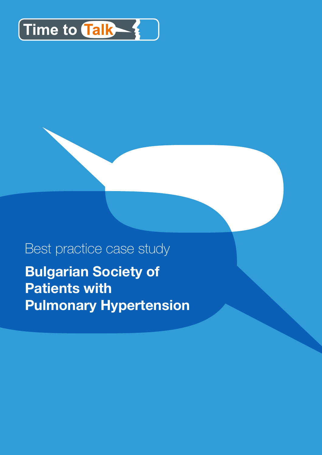

# Best practice case study **Bulgarian Society of Patients with Pulmonary Hypertension**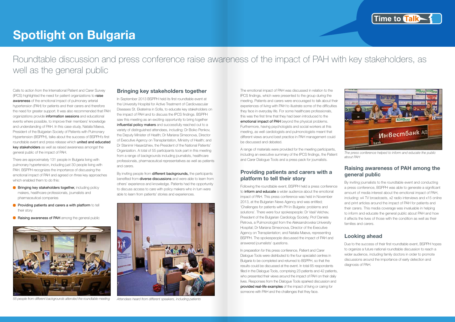# **Spotlight on Bulgaria**

Roundtable discussion and press conference raise awareness of the impact of PAH with key stakeholders, as well as the general public

Calls to action from the International Patient and Carer Survey (IPCS) highlighted the need for patient organizations to raise awareness of the emotional impact of pulmonary arterial hypertension (PAH) for patients and their carers and therefore the need for greater support. It was also recommended that PAH organizations provide information sessions and educational events where possible, to improve their members' knowledge and understanding of PAH. In this case study, Natalia Maeva, President of the Bulgarian Society of Patients with Pulmonary Hypertension (BSPPH), talks about the success of BSPPH's first roundtable event and press release which united and educated key stakeholders as well as raised awareness amongst the general public of the impact of PAH.

There are approximately 131 people in Bulgaria living with pulmonary hypertension, including just 30 people living with PAH. BSPPH recognizes the importance of discussing the emotional impact of PAH and agreed on three key approaches which enabled them to do this:

- **Bringing key stakeholders together, including policy** makers, healthcare professionals, journalists and pharmaceutical companies
- $\blacksquare$  Providing patients and carers a with platform to tell their story
- **C** Raising awareness of PAH among the general public

By inviting people from different backgrounds, the participants benefited from **diverse discussions** and were able to learn from others' experience and knowledge. Patients had the opportunity to discuss access to care with policy makers who in turn were able to learn from patients' stories and experiences.



*55 people from different backgrounds attended the roundtable meeting*

### **Bringing key stakeholders together**

In September 2013 BSPPH held its first roundtable event at the University Hospital for Active Treatment of Cardiovascular Diseases St. Ekaterina in Sofia, to educate key stakeholders on the impact of PAH and to discuss the IPCS findings. BSPPH saw this meeting as an exciting opportunity to bring together influential policy makers and successfully reached out to a variety of distinguished attendees, including: Dr Boiko Penkov, the Deputy Minister of Health; Dr Mariana Simeonova, Director of Executive Agency on Transplantation, Ministry of Health; and Dr Stanimir Hasardzhiev, the President of the National Patients' Organization. A total of 55 participants took part in this meeting from a range of backgrounds including journalists, healthcare professionals, pharmaceutical representatives as well as patients and carers.



*Attendees heard from different speakers, including patients*

The emotional impact of PAH was discussed in relation to the IPCS findings, which were presented to the group during the meeting. Patients and carers were encouraged to talk about their experiences of living with PAH to illustrate some of the difficulties they face in everyday life. For some healthcare professionals, this was the first time that they had been introduced to the emotional impact of PAH beyond the physical problems. Furthermore, having psychologists and social workers at this meeting, as well cardiologists and pulmonologists meant that different views around best practice in PAH management could be discussed and debated.

A range of materials were provided for the meeting participants, including an executive summary of the IPCS findings, the Patient and Carer Dialogue Tools and a press pack for journalists.

### **Providing patients and carers with a platform to tell their story**

Following the roundtable event, BSPPH held a press conference to inform and educate a wider audience about the emotional impact of PAH. This press conference was held in November 2013, at the Bulgarian News Agency and was entitled; 'Challenges for patients with PH in Bulgaria: problems and solutions'. There were four spokespeople: Dr Vasil Velchev, President of the Bulgarian Cardiology Society; Prof Daniela Petrova, a Pulmonologist from the Aleksandrovska University Hospital; Dr Mariana Simeonova, Director of the Executive Agency on Transplantation; and Natalia Maeva, representing BSPPH. The spokespeople discussed the impact of PAH and answered journalists' questions.

In preparation for this press conference, Patient and Carer Dialogue Tools were distributed to the four specialist centres in Bulgaria to be completed and returned to BSPPH, so that the results could be discussed at the event. In total 65 respondents filled in the Dialogue Tools, comprising 23 patients and 42 patients, who presented their views around the impact of PAH on their daily lives. Responses from the Dialogue Tools sparked discussion and provided real-life examples of the impact of living or caring for someone with PAH and the challenges that they face.





*The press conference helped to inform and educate the public about PAH*

#### **Raising awareness of PAH among the general public**

By inviting journalists to the roundtable event and conducting a press conference, BSPPH was able to generate a significant amount of media interest about the emotional impact of PAH, including: x4 TV broadcasts, x2 radio interviews and x15 online and print articles around the impact of PAH for patients and their carers. This media coverage was invaluable in helping to inform and educate the general public about PAH and how it affects the lives of those with the condition as well as their families and carers.

# **Looking ahead**

Due to the success of their first roundtable event, BSPPH hopes to organize a future national roundtable discussion to reach a wider audience, including family doctors in order to promote discussions around the importance of early detection and diagnosis of PAH.